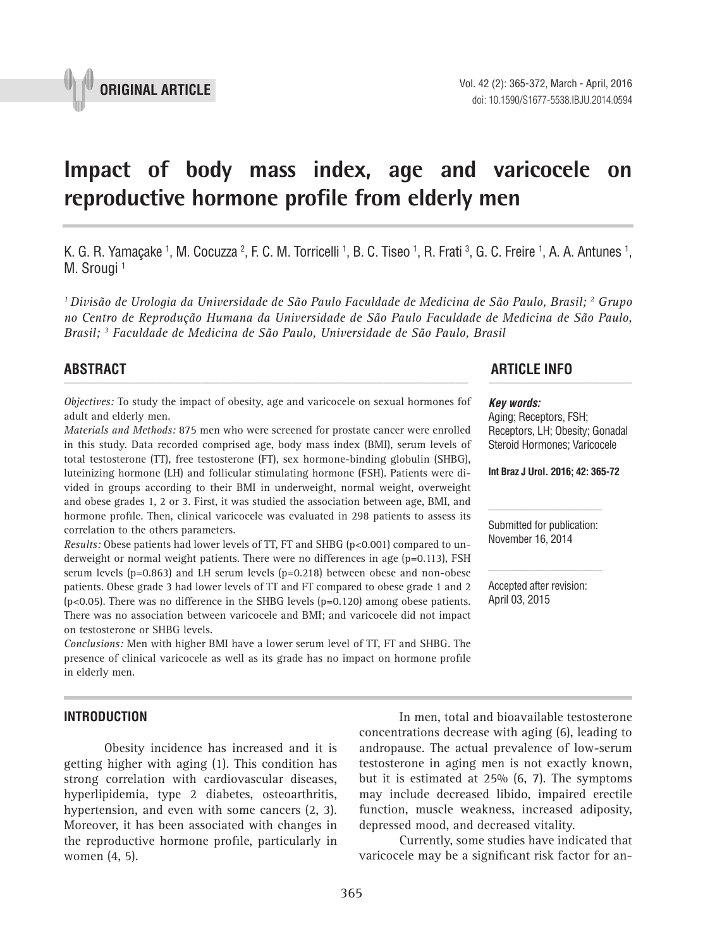

# **Impact of body mass index, age and varicocele on reproductive hormone profile from elderly men \_\_\_\_\_\_\_\_\_\_\_\_\_\_\_\_\_\_\_\_\_\_\_\_\_\_\_\_\_\_\_\_\_\_\_\_\_\_\_\_\_\_\_\_\_\_\_**

K. G. R. Yamaçake <sup>1</sup>, M. Cocuzza <sup>2</sup>, F. C. M. Torricelli <sup>1</sup>, B. C. Tiseo <sup>1</sup>, R. Frati <sup>3</sup>, G. C. Freire <sup>1</sup>, A. A. Antunes <sup>1</sup>, M. Srougi<sup>1</sup>

*1 Divisão de Urologia da Universidade de São Paulo Faculdade de Medicina de São Paulo, Brasil; 2 Grupo no Centro de Reprodução Humana da Universidade de São Paulo Faculdade de Medicina de São Paulo, Brasil; 3 Faculdade de Medicina de São Paulo, Universidade de São Paulo, Brasil*

*Objectives:* To study the impact of obesity, age and varicocele on sexual hormones fof adult and elderly men.

*Materials and Methods:* 875 men who were screened for prostate cancer were enrolled in this study. Data recorded comprised age, body mass index (BMI), serum levels of total testosterone (TT), free testosterone (FT), sex hormone-binding globulin (SHBG), luteinizing hormone (LH) and follicular stimulating hormone (FSH). Patients were divided in groups according to their BMI in underweight, normal weight, overweight and obese grades 1, 2 or 3. First, it was studied the association between age, BMI, and hormone profile. Then, clinical varicocele was evaluated in 298 patients to assess its correlation to the others parameters.

*Results:* Obese patients had lower levels of TT, FT and SHBG (p<0.001) compared to underweight or normal weight patients. There were no differences in age (p=0.113), FSH serum levels (p=0.863) and LH serum levels (p=0.218) between obese and non-obese patients. Obese grade 3 had lower levels of TT and FT compared to obese grade 1 and 2 (p<0.05). There was no difference in the SHBG levels (p=0.120) among obese patients. There was no association between varicocele and BMI; and varicocele did not impact on testosterone or SHBG levels.

*Conclusions:* Men with higher BMI have a lower serum level of TT, FT and SHBG. The presence of clinical varicocele as well as its grade has no impact on hormone profile in elderly men.

### **INTRODUCTION**

Obesity incidence has increased and it is getting higher with aging (1). This condition has strong correlation with cardiovascular diseases, hyperlipidemia, type 2 diabetes, osteoarthritis, hypertension, and even with some cancers (2, 3). Moreover, it has been associated with changes in the reproductive hormone profile, particularly in women (4, 5).

# **ABSTRACT ARTICLE INFO** *\_\_\_\_\_\_\_\_\_\_\_\_\_\_\_\_\_\_\_\_\_\_\_\_\_\_\_\_\_\_\_\_\_\_\_\_\_\_\_\_\_\_\_\_\_\_\_\_\_\_\_\_\_\_\_\_\_\_\_\_\_\_ \_\_\_\_\_\_\_\_\_\_\_\_\_\_\_\_\_\_\_\_\_\_*

#### *Key words:*

Aging; Receptors, FSH; Receptors, LH; Obesity; Gonadal Steroid Hormones; Varicocele

**Int Braz J Urol. 2016; 42: 365-72**

Submitted for publication: November 16, 2014

Accepted after revision: April 03, 2015

In men, total and bioavailable testosterone concentrations decrease with aging (6), leading to andropause. The actual prevalence of low-serum testosterone in aging men is not exactly known, but it is estimated at 25% (6, 7). The symptoms may include decreased libido, impaired erectile function, muscle weakness, increased adiposity, depressed mood, and decreased vitality.

Currently, some studies have indicated that varicocele may be a significant risk factor for an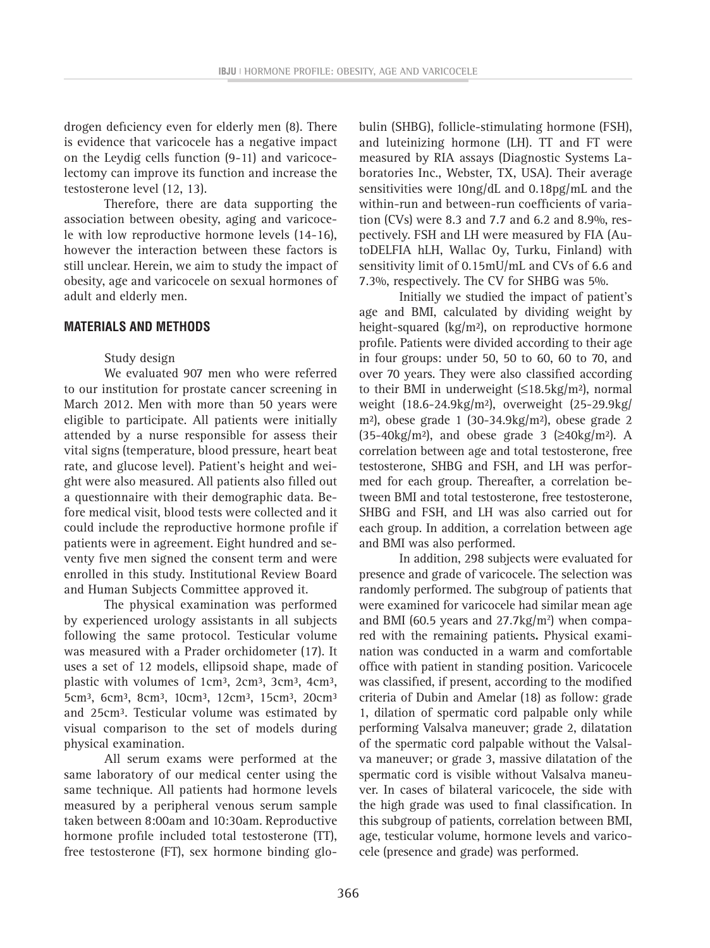drogen deficiency even for elderly men (8). There is evidence that varicocele has a negative impact on the Leydig cells function (9-11) and varicocelectomy can improve its function and increase the testosterone level (12, 13).

Therefore, there are data supporting the association between obesity, aging and varicocele with low reproductive hormone levels (14-16), however the interaction between these factors is still unclear. Herein, we aim to study the impact of obesity, age and varicocele on sexual hormones of adult and elderly men.

# **MATERIALS AND METHODS**

# Study design

We evaluated 907 men who were referred to our institution for prostate cancer screening in March 2012. Men with more than 50 years were eligible to participate. All patients were initially attended by a nurse responsible for assess their vital signs (temperature, blood pressure, heart beat rate, and glucose level). Patient's height and weight were also measured. All patients also filled out a questionnaire with their demographic data. Before medical visit, blood tests were collected and it could include the reproductive hormone profile if patients were in agreement. Eight hundred and seventy five men signed the consent term and were enrolled in this study. Institutional Review Board and Human Subjects Committee approved it.

The physical examination was performed by experienced urology assistants in all subjects following the same protocol. Testicular volume was measured with a Prader orchidometer (17). It uses a set of 12 models, ellipsoid shape, made of plastic with volumes of 1cm<sup>3</sup>, 2cm<sup>3</sup>, 3cm<sup>3</sup>, 4cm<sup>3</sup>, 5cm<sup>3</sup>, 6cm<sup>3</sup>, 8cm<sup>3</sup>, 10cm<sup>3</sup>, 12cm<sup>3</sup>, 15cm<sup>3</sup>, 20cm<sup>3</sup> and 25cm³. Testicular volume was estimated by visual comparison to the set of models during physical examination.

All serum exams were performed at the same laboratory of our medical center using the same technique. All patients had hormone levels measured by a peripheral venous serum sample taken between 8:00am and 10:30am. Reproductive hormone profile included total testosterone (TT), free testosterone (FT), sex hormone binding globulin (SHBG), follicle-stimulating hormone (FSH), and luteinizing hormone (LH). TT and FT were measured by RIA assays (Diagnostic Systems Laboratories Inc., Webster, TX, USA). Their average sensitivities were 10ng/dL and 0.18pg/mL and the within-run and between-run coefficients of variation (CVs) were 8.3 and 7.7 and 6.2 and 8.9%, respectively. FSH and LH were measured by FIA (AutoDELFIA hLH, Wallac Oy, Turku, Finland) with sensitivity limit of 0.15mU/mL and CVs of 6.6 and 7.3%, respectively. The CV for SHBG was 5%.

Initially we studied the impact of patient's age and BMI, calculated by dividing weight by height-squared (kg/m²), on reproductive hormone profile. Patients were divided according to their age in four groups: under 50, 50 to 60, 60 to 70, and over 70 years. They were also classified according to their BMI in underweight (≤18.5kg/m²), normal weight (18.6-24.9kg/m²), overweight (25-29.9kg/ m<sup>2</sup>), obese grade 1 (30-34.9kg/m<sup>2</sup>), obese grade 2  $(35-40\text{kg/m²})$ , and obese grade 3 ( $\geq 40\text{kg/m²}$ ). A correlation between age and total testosterone, free testosterone, SHBG and FSH, and LH was performed for each group. Thereafter, a correlation between BMI and total testosterone, free testosterone, SHBG and FSH, and LH was also carried out for each group. In addition, a correlation between age and BMI was also performed.

In addition, 298 subjects were evaluated for presence and grade of varicocele. The selection was randomly performed. The subgroup of patients that were examined for varicocele had similar mean age and BMI (60.5 years and  $27.7 \text{kg/m}^2$ ) when compared with the remaining patients**.** Physical examination was conducted in a warm and comfortable office with patient in standing position. Varicocele was classified, if present, according to the modified criteria of Dubin and Amelar (18) as follow: grade 1, dilation of spermatic cord palpable only while performing Valsalva maneuver; grade 2, dilatation of the spermatic cord palpable without the Valsalva maneuver; or grade 3, massive dilatation of the spermatic cord is visible without Valsalva maneuver. In cases of bilateral varicocele, the side with the high grade was used to final classification. In this subgroup of patients, correlation between BMI, age, testicular volume, hormone levels and varicocele (presence and grade) was performed.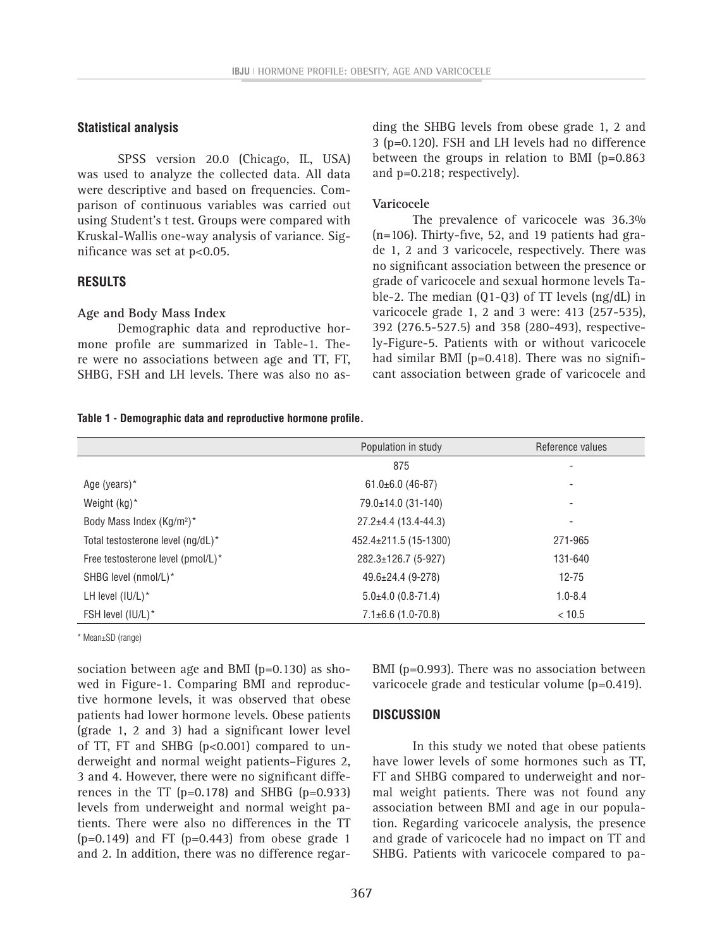## **Statistical analysis**

SPSS version 20.0 (Chicago, IL, USA) was used to analyze the collected data. All data were descriptive and based on frequencies. Comparison of continuous variables was carried out using Student's t test. Groups were compared with Kruskal-Wallis one-way analysis of variance. Significance was set at p<0.05.

# **RESULTS**

### **Age and Body Mass Index**

Demographic data and reproductive hormone profile are summarized in Table-1. There were no associations between age and TT, FT, SHBG, FSH and LH levels. There was also no asding the SHBG levels from obese grade 1, 2 and 3 (p=0.120). FSH and LH levels had no difference between the groups in relation to BMI (p=0.863 and p=0.218; respectively).

## **Varicocele**

The prevalence of varicocele was 36.3% (n=106). Thirty-five, 52, and 19 patients had grade 1, 2 and 3 varicocele, respectively. There was no significant association between the presence or grade of varicocele and sexual hormone levels Table-2. The median (Q1-Q3) of TT levels (ng/dL) in varicocele grade 1, 2 and 3 were: 413 (257-535), 392 (276.5-527.5) and 358 (280-493), respectively-Figure-5. Patients with or without varicocele had similar BMI (p=0.418). There was no significant association between grade of varicocele and

# **Table 1 - Demographic data and reproductive hormone profile.**

|                                       | Population in study        | Reference values |  |
|---------------------------------------|----------------------------|------------------|--|
|                                       | 875                        | ٠                |  |
| Age (years)*                          | $61.0 \pm 6.0$ (46-87)     | ٠                |  |
| Weight $(kg)^*$                       | 79.0±14.0 (31-140)         | ٠                |  |
| Body Mass Index (Kg/m <sup>2</sup> )* | $27.2 \pm 4.4$ (13.4-44.3) | ۰                |  |
| Total testosterone level (ng/dL)*     | 452.4±211.5 (15-1300)      | 271-965          |  |
| Free testosterone level (pmol/L)*     | 282.3±126.7 (5-927)        | 131-640          |  |
| SHBG level (nmol/L)*                  | $49.6 \pm 24.4$ (9-278)    | $12 - 75$        |  |
| LH level (IU/L)*                      | $5.0\pm4.0$ (0.8-71.4)     | $1.0 - 8.4$      |  |
| FSH level (IU/L)*                     | $7.1\pm6.6$ (1.0-70.8)     | < 10.5           |  |

\* Mean±SD (range)

sociation between age and BMI (p=0.130) as showed in Figure-1. Comparing BMI and reproductive hormone levels, it was observed that obese patients had lower hormone levels. Obese patients (grade 1, 2 and 3) had a significant lower level of TT, FT and SHBG  $(p<0.001)$  compared to underweight and normal weight patients–Figures 2, 3 and 4. However, there were no significant differences in the TT ( $p=0.178$ ) and SHBG ( $p=0.933$ ) levels from underweight and normal weight patients. There were also no differences in the TT  $(p=0.149)$  and FT  $(p=0.443)$  from obese grade 1 and 2. In addition, there was no difference regarBMI (p=0.993). There was no association between varicocele grade and testicular volume (p=0.419).

# **DISCUSSION**

In this study we noted that obese patients have lower levels of some hormones such as TT, FT and SHBG compared to underweight and normal weight patients. There was not found any association between BMI and age in our population. Regarding varicocele analysis, the presence and grade of varicocele had no impact on TT and SHBG. Patients with varicocele compared to pa-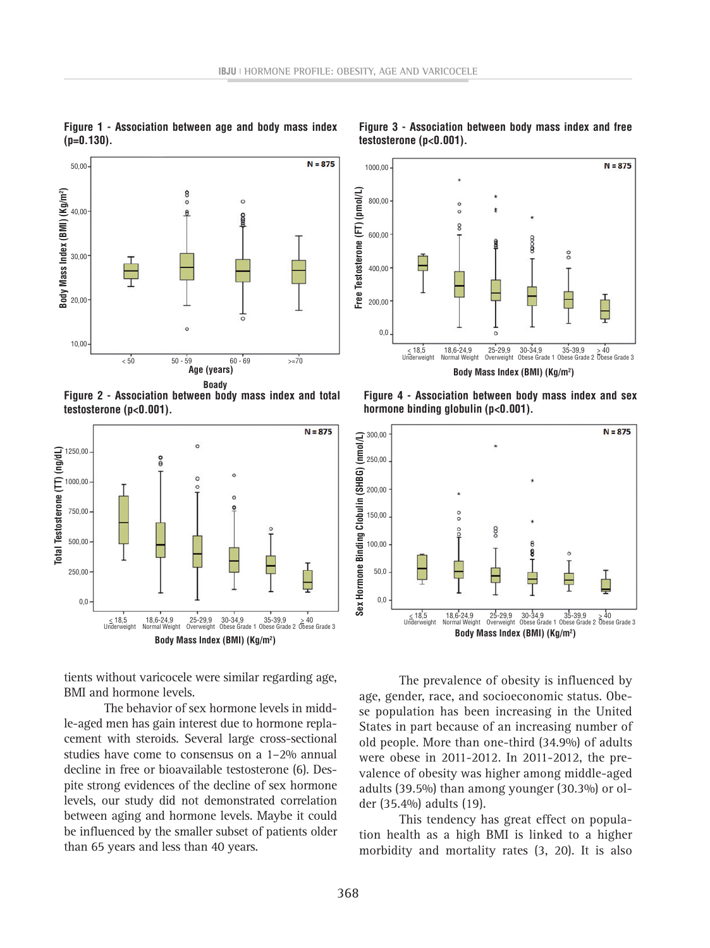

**Figure 1 - Association between age and body mass index (p=0.130).**

**Figure 2 - Association between body mass index and total testosterone (p<0.001).**



tients without varicocele were similar regarding age, BMI and hormone levels.

The behavior of sex hormone levels in middle-aged men has gain interest due to hormone replacement with steroids. Several large cross-sectional studies have come to consensus on a 1–2% annual decline in free or bioavailable testosterone (6). Despite strong evidences of the decline of sex hormone levels, our study did not demonstrated correlation between aging and hormone levels. Maybe it could be influenced by the smaller subset of patients older than 65 years and less than 40 years.



**Figure 3 - Association between body mass index and free testosterone (p<0.001).**

**Figure 4 - Association between body mass index and sex hormone binding globulin (p<0.001).**



The prevalence of obesity is influenced by age, gender, race, and socioeconomic status. Obese population has been increasing in the United States in part because of an increasing number of old people. More than one-third (34.9%) of adults were obese in 2011-2012. In 2011-2012, the prevalence of obesity was higher among middle-aged adults (39.5%) than among younger (30.3%) or older (35.4%) adults (19).

This tendency has great effect on population health as a high BMI is linked to a higher morbidity and mortality rates (3, 20). It is also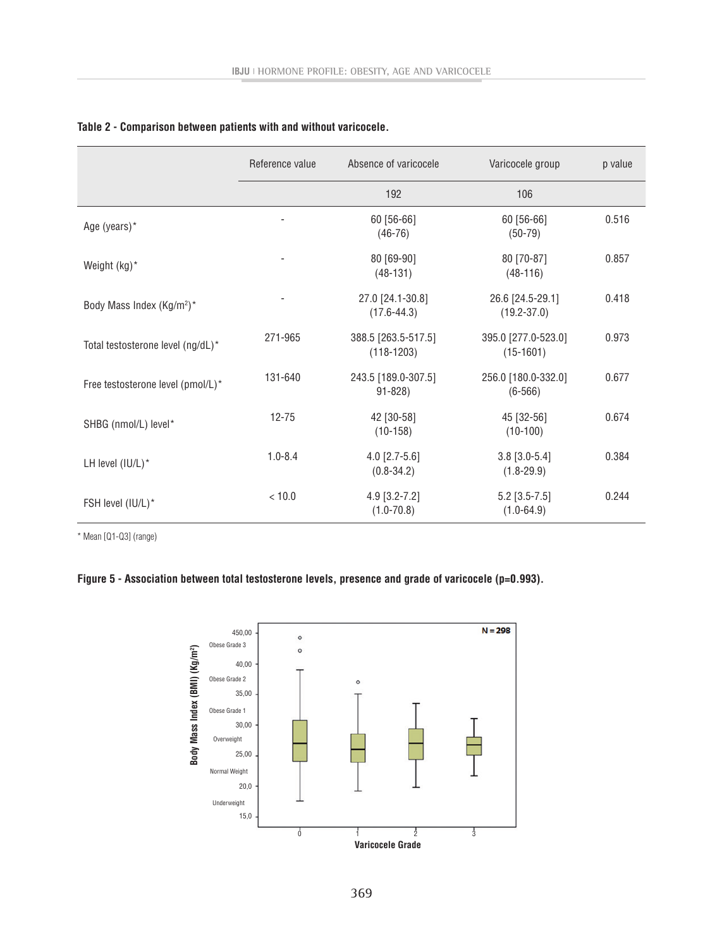|                                       | Reference value | Absence of varicocele               | Varicocele group                    | p value |
|---------------------------------------|-----------------|-------------------------------------|-------------------------------------|---------|
|                                       |                 | 192                                 | 106                                 |         |
| Age (years)*                          |                 | 60 [56-66]<br>$(46-76)$             | 60 [56-66]<br>$(50-79)$             | 0.516   |
| Weight (kg)*                          |                 | 80 [69-90]<br>$(48-131)$            | 80 [70-87]<br>$(48-116)$            | 0.857   |
| Body Mass Index (Kg/m <sup>2</sup> )* |                 | 27.0 [24.1-30.8]<br>$(17.6 - 44.3)$ | 26.6 [24.5-29.1]<br>$(19.2 - 37.0)$ | 0.418   |
| Total testosterone level (ng/dL)*     | 271-965         | 388.5 [263.5-517.5]<br>$(118-1203)$ | 395.0 [277.0-523.0]<br>$(15-1601)$  | 0.973   |
| Free testosterone level (pmol/L)*     | 131-640         | 243.5 [189.0-307.5]<br>$91 - 828$   | 256.0 [180.0-332.0]<br>$(6 - 566)$  | 0.677   |
| SHBG (nmol/L) level*                  | $12 - 75$       | 42 [30-58]<br>$(10-158)$            | 45 [32-56]<br>$(10-100)$            | 0.674   |
| LH level (IU/L)*                      | $1.0 - 8.4$     | $4.0$ [2.7-5.6]<br>$(0.8 - 34.2)$   | $3.8$ [3.0-5.4]<br>$(1.8 - 29.9)$   | 0.384   |
| FSH level (IU/L)*                     | < 10.0          | $4.9$ [3.2-7.2]<br>$(1.0 - 70.8)$   | $5.2$ [3.5-7.5]<br>$(1.0 - 64.9)$   | 0.244   |

# **Table 2 - Comparison between patients with and without varicocele.**

\* Mean [Q1-Q3] (range)

# **Figure 5 - Association between total testosterone levels, presence and grade of varicocele (p=0.993).**

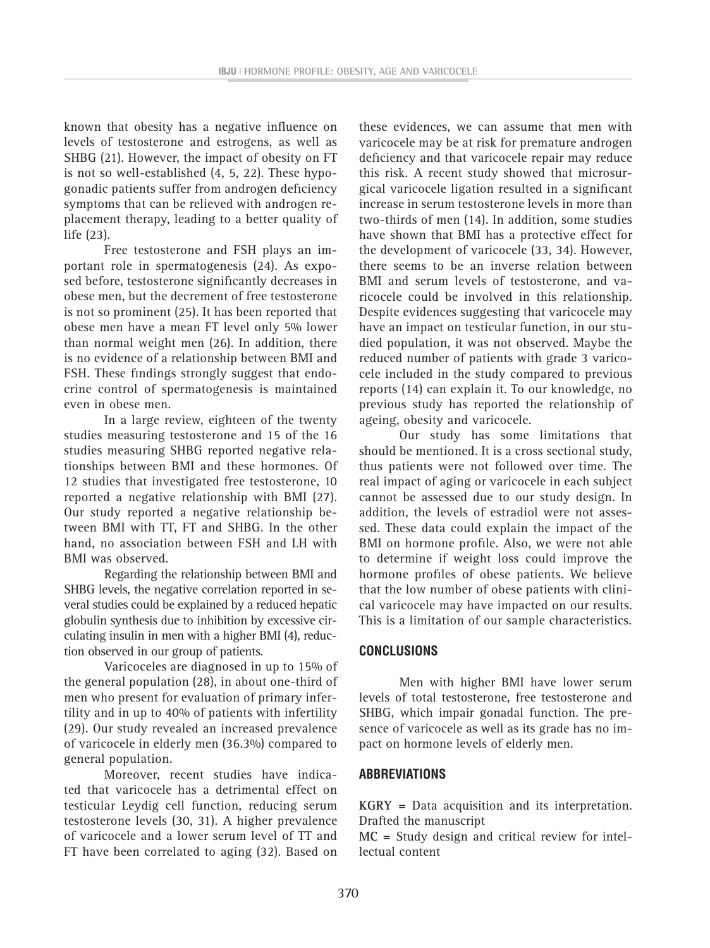known that obesity has a negative influence on levels of testosterone and estrogens, as well as SHBG (21). However, the impact of obesity on FT is not so well-established (4, 5, 22). These hypogonadic patients suffer from androgen deficiency symptoms that can be relieved with androgen replacement therapy, leading to a better quality of life (23).

Free testosterone and FSH plays an important role in spermatogenesis (24). As exposed before, testosterone significantly decreases in obese men, but the decrement of free testosterone is not so prominent (25). It has been reported that obese men have a mean FT level only 5% lower than normal weight men (26). In addition, there is no evidence of a relationship between BMI and FSH. These findings strongly suggest that endocrine control of spermatogenesis is maintained even in obese men.

In a large review, eighteen of the twenty studies measuring testosterone and 15 of the 16 studies measuring SHBG reported negative relationships between BMI and these hormones. Of 12 studies that investigated free testosterone, 10 reported a negative relationship with BMI (27). Our study reported a negative relationship between BMI with TT, FT and SHBG. In the other hand, no association between FSH and LH with BMI was observed.

Regarding the relationship between BMI and SHBG levels, the negative correlation reported in several studies could be explained by a reduced hepatic globulin synthesis due to inhibition by excessive circulating insulin in men with a higher BMI (4), reduction observed in our group of patients.

Varicoceles are diagnosed in up to 15% of the general population (28), in about one-third of men who present for evaluation of primary infertility and in up to 40% of patients with infertility (29). Our study revealed an increased prevalence of varicocele in elderly men (36.3%) compared to general population.

Moreover, recent studies have indicated that varicocele has a detrimental effect on testicular Leydig cell function, reducing serum testosterone levels (30, 31). A higher prevalence of varicocele and a lower serum level of TT and FT have been correlated to aging (32). Based on

these evidences, we can assume that men with varicocele may be at risk for premature androgen deficiency and that varicocele repair may reduce this risk. A recent study showed that microsurgical varicocele ligation resulted in a significant increase in serum testosterone levels in more than two-thirds of men (14). In addition, some studies have shown that BMI has a protective effect for the development of varicocele (33, 34). However, there seems to be an inverse relation between BMI and serum levels of testosterone, and varicocele could be involved in this relationship. Despite evidences suggesting that varicocele may have an impact on testicular function, in our studied population, it was not observed. Maybe the reduced number of patients with grade 3 varicocele included in the study compared to previous reports (14) can explain it. To our knowledge, no previous study has reported the relationship of ageing, obesity and varicocele.

Our study has some limitations that should be mentioned. It is a cross sectional study, thus patients were not followed over time. The real impact of aging or varicocele in each subject cannot be assessed due to our study design. In addition, the levels of estradiol were not assessed. These data could explain the impact of the BMI on hormone profile. Also, we were not able to determine if weight loss could improve the hormone profiles of obese patients. We believe that the low number of obese patients with clinical varicocele may have impacted on our results. This is a limitation of our sample characteristics.

# **CONCLUSIONS**

Men with higher BMI have lower serum levels of total testosterone, free testosterone and SHBG, which impair gonadal function. The presence of varicocele as well as its grade has no impact on hormone levels of elderly men.

# **Abbreviations**

**KGRY =** Data acquisition and its interpretation. Drafted the manuscript

**MC =** Study design and critical review for intellectual content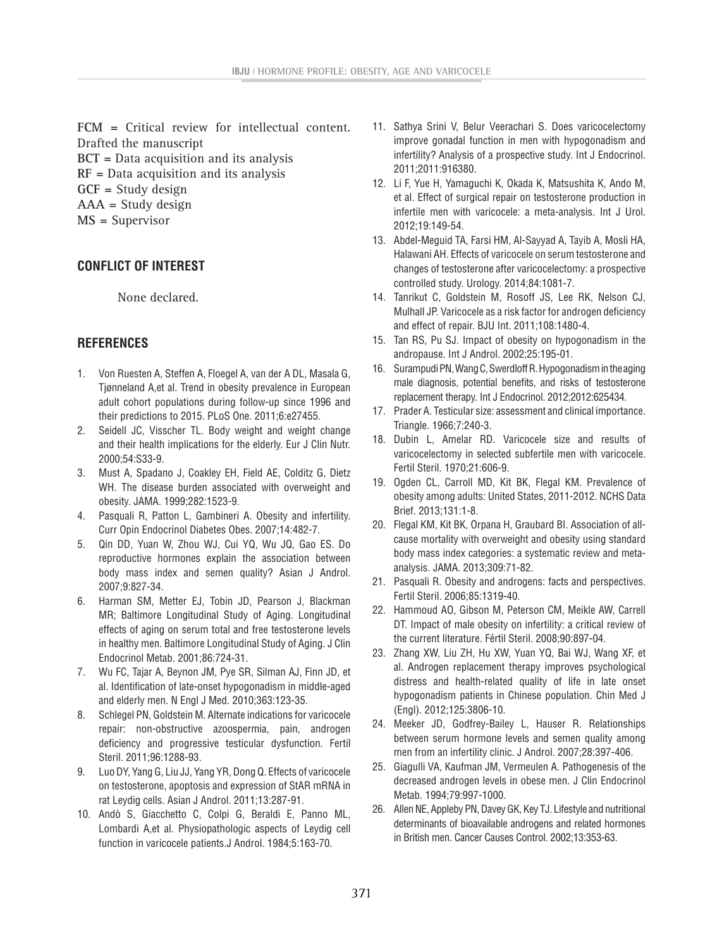**FCM =** Critical review for intellectual content. Drafted the manuscript **BCT =** Data acquisition and its analysis **RF =** Data acquisition and its analysis **GCF =** Study design **AAA =** Study design **MS =** Supervisor

# **CONFLICT OF INTEREST**

None declared.

# **REFERENCES**

- 1. Von Ruesten A, Steffen A, Floegel A, van der A DL, Masala G, Tjønneland A,et al. Trend in obesity prevalence in European adult cohort populations during follow-up since 1996 and their predictions to 2015. PLoS One. 2011;6:e27455.
- 2. Seidell JC, Visscher TL. Body weight and weight change and their health implications for the elderly. Eur J Clin Nutr. 2000;54:S33-9.
- 3. Must A, Spadano J, Coakley EH, Field AE, Colditz G, Dietz WH. The disease burden associated with overweight and obesity. JAMA. 1999;282:1523-9.
- 4. Pasquali R, Patton L, Gambineri A. Obesity and infertility. Curr Opin Endocrinol Diabetes Obes. 2007;14:482-7.
- 5. Qin DD, Yuan W, Zhou WJ, Cui YQ, Wu JQ, Gao ES. Do reproductive hormones explain the association between body mass index and semen quality? Asian J Androl. 2007;9:827-34.
- 6. Harman SM, Metter EJ, Tobin JD, Pearson J, Blackman MR; Baltimore Longitudinal Study of Aging. Longitudinal effects of aging on serum total and free testosterone levels in healthy men. Baltimore Longitudinal Study of Aging. J Clin Endocrinol Metab. 2001;86:724-31.
- 7. Wu FC, Tajar A, Beynon JM, Pye SR, Silman AJ, Finn JD, et al. Identification of late-onset hypogonadism in middle-aged and elderly men. N Engl J Med. 2010;363:123-35.
- 8. Schlegel PN, Goldstein M. Alternate indications for varicocele repair: non-obstructive azoospermia, pain, androgen deficiency and progressive testicular dysfunction. Fertil Steril. 2011;96:1288-93.
- 9. Luo DY, Yang G, Liu JJ, Yang YR, Dong Q. Effects of varicocele on testosterone, apoptosis and expression of StAR mRNA in rat Leydig cells. Asian J Androl. 2011;13:287-91.
- 10. Andò S, Giacchetto C, Colpi G, Beraldi E, Panno ML, Lombardi A,et al. Physiopathologic aspects of Leydig cell function in varicocele patients.J Androl. 1984;5:163-70.
- 11. Sathya Srini V, Belur Veerachari S. Does varicocelectomy improve gonadal function in men with hypogonadism and infertility? Analysis of a prospective study. Int J Endocrinol. 2011;2011:916380.
- 12. Li F, Yue H, Yamaguchi K, Okada K, Matsushita K, Ando M, et al. Effect of surgical repair on testosterone production in infertile men with varicocele: a meta-analysis. Int J Urol. 2012;19:149-54.
- 13. Abdel-Meguid TA, Farsi HM, Al-Sayyad A, Tayib A, Mosli HA, Halawani AH. Effects of varicocele on serum testosterone and changes of testosterone after varicocelectomy: a prospective controlled study. Urology. 2014;84:1081-7.
- 14. Tanrikut C, Goldstein M, Rosoff JS, Lee RK, Nelson CJ, Mulhall JP. Varicocele as a risk factor for androgen deficiency and effect of repair. BJU Int. 2011;108:1480-4.
- 15. Tan RS, Pu SJ. Impact of obesity on hypogonadism in the andropause. Int J Androl. 2002;25:195-01.
- 16. Surampudi PN, Wang C, Swerdloff R. Hypogonadism in the aging male diagnosis, potential benefits, and risks of testosterone replacement therapy. Int J Endocrinol. 2012;2012:625434.
- 17. Prader A. Testicular size: assessment and clinical importance. Triangle. 1966;7:240-3.
- 18. Dubin L, Amelar RD. Varicocele size and results of varicocelectomy in selected subfertile men with varicocele. Fertil Steril. 1970;21:606-9.
- 19. Ogden CL, Carroll MD, Kit BK, Flegal KM. Prevalence of obesity among adults: United States, 2011-2012. NCHS Data Brief. 2013;131:1-8.
- 20. Flegal KM, Kit BK, Orpana H, Graubard BI. Association of allcause mortality with overweight and obesity using standard body mass index categories: a systematic review and metaanalysis. JAMA. 2013;309:71-82.
- 21. Pasquali R. Obesity and androgens: facts and perspectives. Fertil Steril. 2006;85:1319-40.
- 22. Hammoud AO, Gibson M, Peterson CM, Meikle AW, Carrell DT. Impact of male obesity on infertility: a critical review of the current literature. Fértil Steril. 2008;90:897-04.
- 23. Zhang XW, Liu ZH, Hu XW, Yuan YQ, Bai WJ, Wang XF, et al. Androgen replacement therapy improves psychological distress and health-related quality of life in late onset hypogonadism patients in Chinese population. Chin Med J (Engl). 2012;125:3806-10.
- 24. Meeker JD, Godfrey-Bailey L, Hauser R. Relationships between serum hormone levels and semen quality among men from an infertility clinic. J Androl. 2007;28:397-406.
- 25. Giagulli VA, Kaufman JM, Vermeulen A. Pathogenesis of the decreased androgen levels in obese men. J Clin Endocrinol Metab. 1994;79:997-1000.
- 26. Allen NE, Appleby PN, Davey GK, Key TJ. Lifestyle and nutritional determinants of bioavailable androgens and related hormones in British men. Cancer Causes Control. 2002;13:353-63.